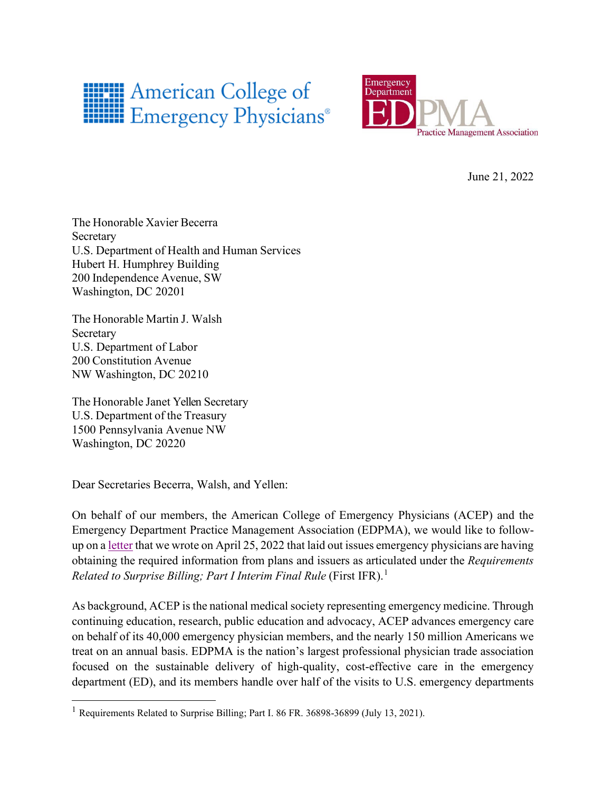



June 21, 2022

The Honorable Xavier Becerra Secretary U.S. Department of Health and Human Services Hubert H. Humphrey Building 200 Independence Avenue, SW Washington, DC 20201

The Honorable Martin J. Walsh Secretary U.S. Department of Labor 200 Constitution Avenue NW Washington, DC 20210

The Honorable Janet Yellen Secretary U.S. Department of the Treasury 1500 Pennsylvania Avenue NW Washington, DC 20220

Dear Secretaries Becerra, Walsh, and Yellen:

On behalf of our members, the American College of Emergency Physicians (ACEP) and the Emergency Department Practice Management Association (EDPMA), we would like to followup on a [letter](https://www.acep.org/globalassets/new-pdfs/advocacy/acep-and-edpma-letter-on-no-surprises-act-billing-compliance-issues.pdf) that we wrote on April 25, 2022 that laid out issues emergency physicians are having obtaining the required information from plans and issuers as articulated under the *Requirements Related to Surprise Billing; Part I Interim Final Rule* (First IFR).[1](#page-0-0)

As background, ACEP is the national medical society representing emergency medicine. Through continuing education, research, public education and advocacy, ACEP advances emergency care on behalf of its 40,000 emergency physician members, and the nearly 150 million Americans we treat on an annual basis. EDPMA is the nation's largest professional physician trade association focused on the sustainable delivery of high-quality, cost-effective care in the emergency department (ED), and its members handle over half of the visits to U.S. emergency departments

<span id="page-0-0"></span><sup>&</sup>lt;sup>1</sup> Requirements Related to Surprise Billing; Part I. 86 FR. 36898-36899 (July 13, 2021).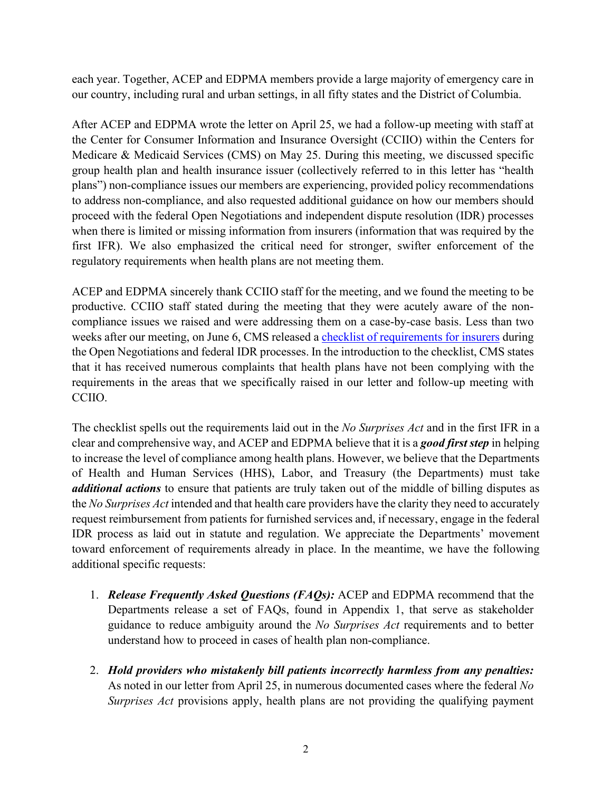each year. Together, ACEP and EDPMA members provide a large majority of emergency care in our country, including rural and urban settings, in all fifty states and the District of Columbia.

After ACEP and EDPMA wrote the letter on April 25, we had a follow-up meeting with staff at the Center for Consumer Information and Insurance Oversight (CCIIO) within the Centers for Medicare & Medicaid Services (CMS) on May 25. During this meeting, we discussed specific group health plan and health insurance issuer (collectively referred to in this letter has "health plans") non-compliance issues our members are experiencing, provided policy recommendations to address non-compliance, and also requested additional guidance on how our members should proceed with the federal Open Negotiations and independent dispute resolution (IDR) processes when there is limited or missing information from insurers (information that was required by the first IFR). We also emphasized the critical need for stronger, swifter enforcement of the regulatory requirements when health plans are not meeting them.

ACEP and EDPMA sincerely thank CCIIO staff for the meeting, and we found the meeting to be productive. CCIIO staff stated during the meeting that they were acutely aware of the noncompliance issues we raised and were addressing them on a case-by-case basis. Less than two weeks after our meeting, on June 6, CMS released a checklist [of requirements for insurers](https://www.cms.gov/files/document/caa-NSA-Issuer-Requirements-Checklist.pdf) during the Open Negotiations and federal IDR processes. In the introduction to the checklist, CMS states that it has received numerous complaints that health plans have not been complying with the requirements in the areas that we specifically raised in our letter and follow-up meeting with CCIIO.

The checklist spells out the requirements laid out in the *No Surprises Act* and in the first IFR in a clear and comprehensive way, and ACEP and EDPMA believe that it is a *good first step* in helping to increase the level of compliance among health plans. However, we believe that the Departments of Health and Human Services (HHS), Labor, and Treasury (the Departments) must take *additional actions* to ensure that patients are truly taken out of the middle of billing disputes as the *No Surprises Act* intended and that health care providers have the clarity they need to accurately request reimbursement from patients for furnished services and, if necessary, engage in the federal IDR process as laid out in statute and regulation. We appreciate the Departments' movement toward enforcement of requirements already in place. In the meantime, we have the following additional specific requests:

- 1. *Release Frequently Asked Questions (FAQs):* ACEP and EDPMA recommend that the Departments release a set of FAQs, found in Appendix 1, that serve as stakeholder guidance to reduce ambiguity around the *No Surprises Act* requirements and to better understand how to proceed in cases of health plan non-compliance.
- 2. *Hold providers who mistakenly bill patients incorrectly harmless from any penalties:*  As noted in our letter from April 25, in numerous documented cases where the federal *No Surprises Act* provisions apply, health plans are not providing the qualifying payment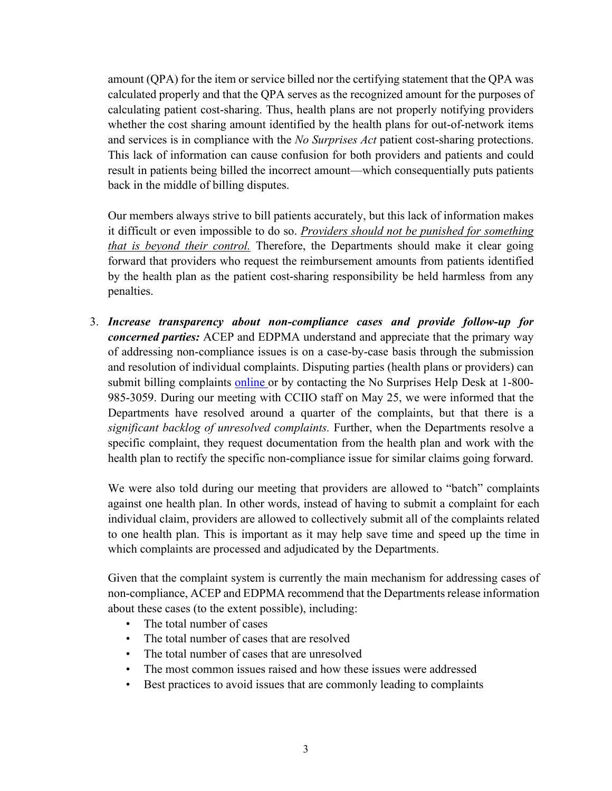amount (QPA) for the item or service billed nor the certifying statement that the QPA was calculated properly and that the QPA serves as the recognized amount for the purposes of calculating patient cost-sharing. Thus, health plans are not properly notifying providers whether the cost sharing amount identified by the health plans for out-of-network items and services is in compliance with the *No Surprises Act* patient cost-sharing protections. This lack of information can cause confusion for both providers and patients and could result in patients being billed the incorrect amount—which consequentially puts patients back in the middle of billing disputes.

Our members always strive to bill patients accurately, but this lack of information makes it difficult or even impossible to do so. *Providers should not be punished for something that is beyond their control.* Therefore, the Departments should make it clear going forward that providers who request the reimbursement amounts from patients identified by the health plan as the patient cost-sharing responsibility be held harmless from any penalties.

3. *Increase transparency about non-compliance cases and provide follow-up for concerned parties:* ACEP and EDPMA understand and appreciate that the primary way of addressing non-compliance issues is on a case-by-case basis through the submission and resolution of individual complaints. Disputing parties (health plans or providers) can submit billing complaints [online](https://nsa-idr.cms.gov/providercomplaints/s/) or by contacting the No Surprises Help Desk at 1-800-985-3059. During our meeting with CCIIO staff on May 25, we were informed that the Departments have resolved around a quarter of the complaints, but that there is a *significant backlog of unresolved complaints.* Further, when the Departments resolve a specific complaint, they request documentation from the health plan and work with the health plan to rectify the specific non-compliance issue for similar claims going forward.

We were also told during our meeting that providers are allowed to "batch" complaints against one health plan. In other words, instead of having to submit a complaint for each individual claim, providers are allowed to collectively submit all of the complaints related to one health plan. This is important as it may help save time and speed up the time in which complaints are processed and adjudicated by the Departments.

Given that the complaint system is currently the main mechanism for addressing cases of non-compliance, ACEP and EDPMA recommend that the Departments release information about these cases (to the extent possible), including:

- The total number of cases
- The total number of cases that are resolved
- The total number of cases that are unresolved
- The most common issues raised and how these issues were addressed
- Best practices to avoid issues that are commonly leading to complaints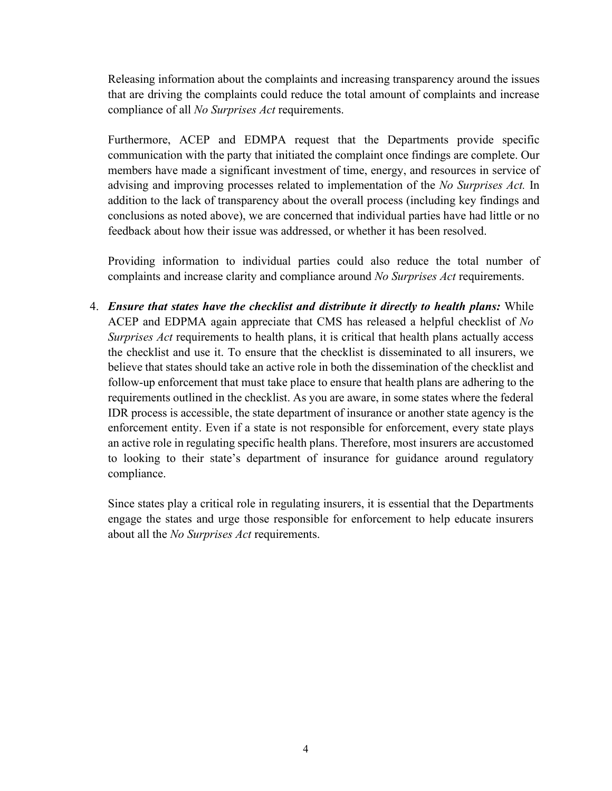Releasing information about the complaints and increasing transparency around the issues that are driving the complaints could reduce the total amount of complaints and increase compliance of all *No Surprises Act* requirements.

Furthermore, ACEP and EDMPA request that the Departments provide specific communication with the party that initiated the complaint once findings are complete. Our members have made a significant investment of time, energy, and resources in service of advising and improving processes related to implementation of the *No Surprises Act.* In addition to the lack of transparency about the overall process (including key findings and conclusions as noted above), we are concerned that individual parties have had little or no feedback about how their issue was addressed, or whether it has been resolved.

Providing information to individual parties could also reduce the total number of complaints and increase clarity and compliance around *No Surprises Act* requirements.

4. *Ensure that states have the checklist and distribute it directly to health plans:* While ACEP and EDPMA again appreciate that CMS has released a helpful checklist of *No Surprises Act* requirements to health plans, it is critical that health plans actually access the checklist and use it. To ensure that the checklist is disseminated to all insurers, we believe that states should take an active role in both the dissemination of the checklist and follow-up enforcement that must take place to ensure that health plans are adhering to the requirements outlined in the checklist. As you are aware, in some states where the federal IDR process is accessible, the state department of insurance or another state agency is the enforcement entity. Even if a state is not responsible for enforcement, every state plays an active role in regulating specific health plans. Therefore, most insurers are accustomed to looking to their state's department of insurance for guidance around regulatory compliance.

Since states play a critical role in regulating insurers, it is essential that the Departments engage the states and urge those responsible for enforcement to help educate insurers about all the *No Surprises Act* requirements.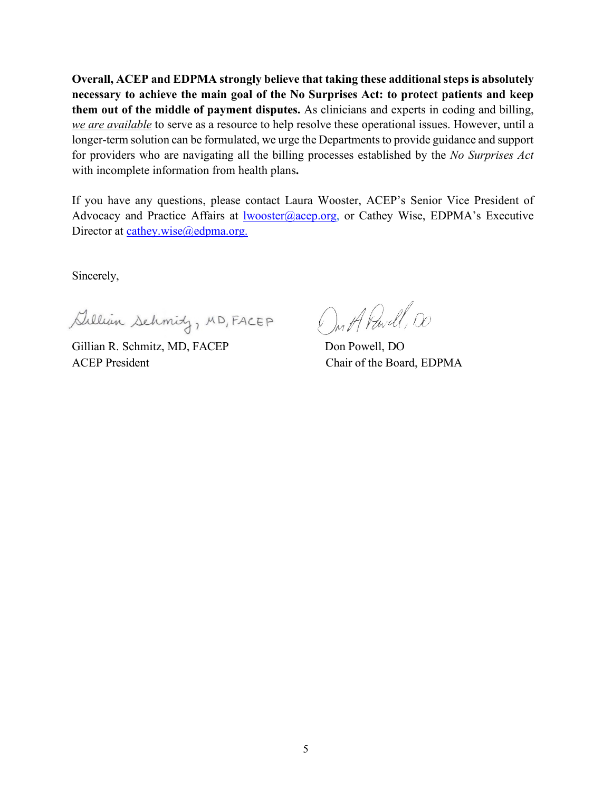**Overall, ACEP and EDPMA strongly believe that taking these additional steps is absolutely necessary to achieve the main goal of the No Surprises Act: to protect patients and keep them out of the middle of payment disputes.** As clinicians and experts in coding and billing, *we are available* to serve as a resource to help resolve these operational issues. However, until a longer-term solution can be formulated, we urge the Departments to provide guidance and support for providers who are navigating all the billing processes established by the *No Surprises Act* with incomplete information from health plans**.** 

If you have any questions, please contact Laura Wooster, ACEP's Senior Vice President of Advocacy and Practice Affairs at  $lwoster@accept.org$ , or Cathey Wise, EDPMA's Executive Director at [cathey.wise@edpma.org.](mailto:cathey.wise@edpma.org)

Sincerely,

Sillian Schmidy, MD, FACEP

Gillian R. Schmitz, MD, FACEP Don Powell, DO ACEP President Chair of the Board, EDPMA

On A Pavell, 00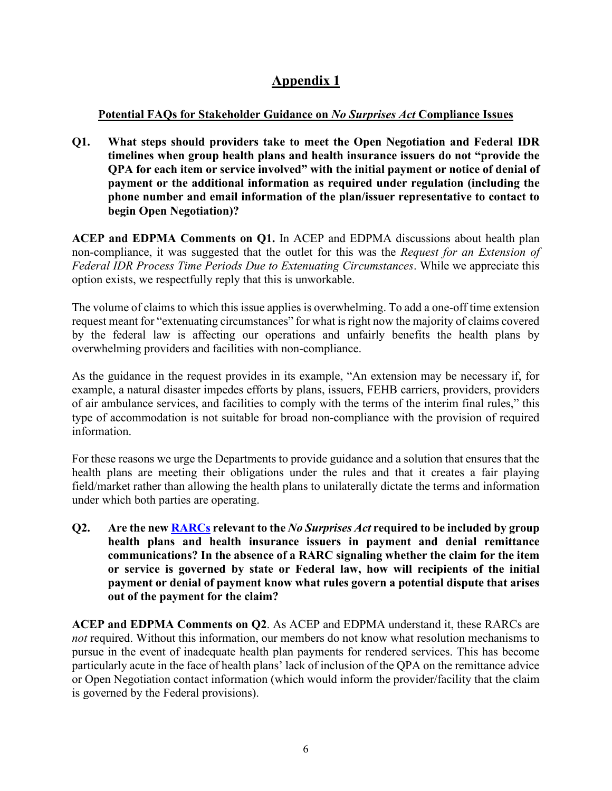## **Appendix 1**

## **Potential FAQs for Stakeholder Guidance on** *No Surprises Act* **Compliance Issues**

**Q1. What steps should providers take to meet the Open Negotiation and Federal IDR timelines when group health plans and health insurance issuers do not "provide the QPA for each item or service involved" with the initial payment or notice of denial of payment or the additional information as required under regulation (including the phone number and email information of the plan/issuer representative to contact to begin Open Negotiation)?**

**ACEP and EDPMA Comments on Q1.** In ACEP and EDPMA discussions about health plan non-compliance, it was suggested that the outlet for this was the *Request for an Extension of Federal IDR Process Time Periods Due to Extenuating Circumstances*. While we appreciate this option exists, we respectfully reply that this is unworkable.

The volume of claims to which this issue applies is overwhelming. To add a one-off time extension request meant for "extenuating circumstances" for what is right now the majority of claims covered by the federal law is affecting our operations and unfairly benefits the health plans by overwhelming providers and facilities with non-compliance.

As the guidance in the request provides in its example, "An extension may be necessary if, for example, a natural disaster impedes efforts by plans, issuers, FEHB carriers, providers, providers of air ambulance services, and facilities to comply with the terms of the interim final rules," this type of accommodation is not suitable for broad non-compliance with the provision of required information.

For these reasons we urge the Departments to provide guidance and a solution that ensures that the health plans are meeting their obligations under the rules and that it creates a fair playing field/market rather than allowing the health plans to unilaterally dictate the terms and information under which both parties are operating.

**Q2. Are the new [RARCs](https://www.cms.gov/CCIIO/Programs-and-Initiatives/Other-Insurance-Protections/CAA-NSA-RARC-Codes.pdf) relevant to the** *No Surprises Act* **required to be included by group health plans and health insurance issuers in payment and denial remittance communications? In the absence of a RARC signaling whether the claim for the item or service is governed by state or Federal law, how will recipients of the initial payment or denial of payment know what rules govern a potential dispute that arises out of the payment for the claim?**

**ACEP and EDPMA Comments on Q2**. As ACEP and EDPMA understand it, these RARCs are *not* required. Without this information, our members do not know what resolution mechanisms to pursue in the event of inadequate health plan payments for rendered services. This has become particularly acute in the face of health plans' lack of inclusion of the QPA on the remittance advice or Open Negotiation contact information (which would inform the provider/facility that the claim is governed by the Federal provisions).